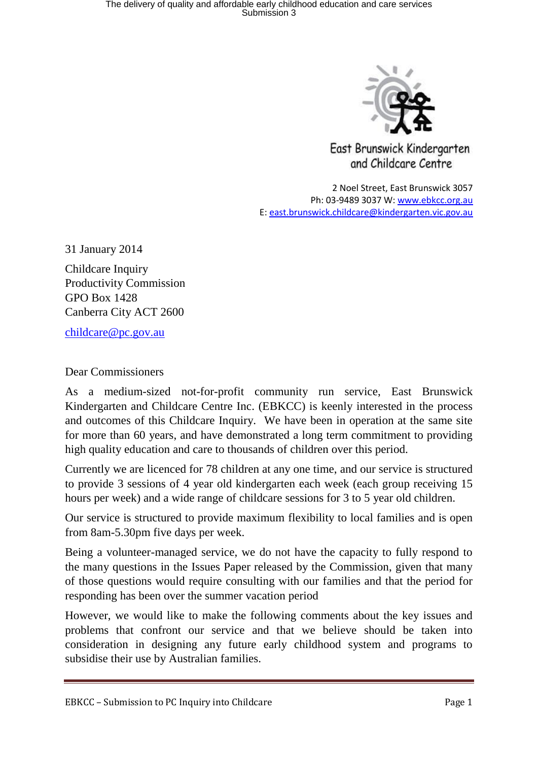

East Brunswick Kindergarten and Childcare Centre

2 Noel Street, East Brunswick 3057 Ph: 03-9489 3037 W: [www.ebkcc.org.au](http://www.ebkcc.org.au/) E: [east.brunswick.childcare@kindergarten.vic.gov.au](mailto:east.brunswick.childcare@kindergarten.vic.gov.au)

31 January 2014

Childcare Inquiry Productivity Commission GPO Box 1428 Canberra City ACT 2600

[childcare@pc.gov.au](mailto:childcare@pc.gov.au)

Dear Commissioners

As a medium-sized not-for-profit community run service, East Brunswick Kindergarten and Childcare Centre Inc. (EBKCC) is keenly interested in the process and outcomes of this Childcare Inquiry. We have been in operation at the same site for more than 60 years, and have demonstrated a long term commitment to providing high quality education and care to thousands of children over this period.

Currently we are licenced for 78 children at any one time, and our service is structured to provide 3 sessions of 4 year old kindergarten each week (each group receiving 15 hours per week) and a wide range of childcare sessions for 3 to 5 year old children.

Our service is structured to provide maximum flexibility to local families and is open from 8am-5.30pm five days per week.

Being a volunteer-managed service, we do not have the capacity to fully respond to the many questions in the Issues Paper released by the Commission, given that many of those questions would require consulting with our families and that the period for responding has been over the summer vacation period

However, we would like to make the following comments about the key issues and problems that confront our service and that we believe should be taken into consideration in designing any future early childhood system and programs to subsidise their use by Australian families.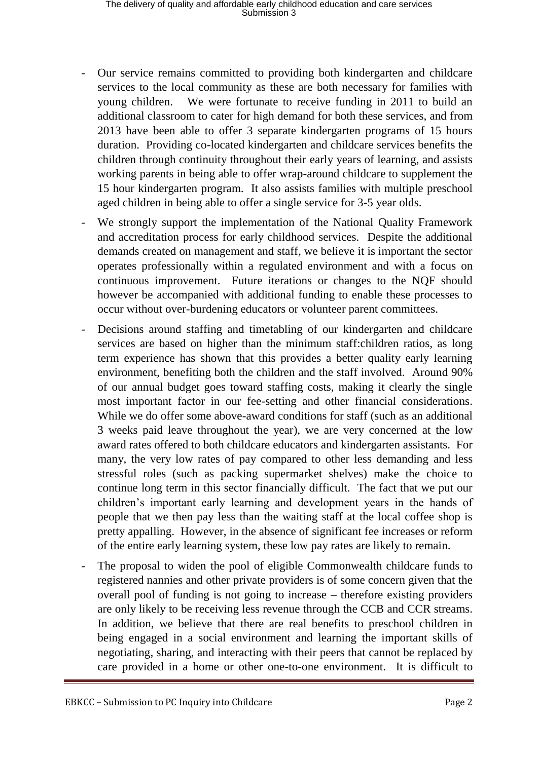- Our service remains committed to providing both kindergarten and childcare services to the local community as these are both necessary for families with young children. We were fortunate to receive funding in 2011 to build an additional classroom to cater for high demand for both these services, and from 2013 have been able to offer 3 separate kindergarten programs of 15 hours duration. Providing co-located kindergarten and childcare services benefits the children through continuity throughout their early years of learning, and assists working parents in being able to offer wrap-around childcare to supplement the 15 hour kindergarten program. It also assists families with multiple preschool aged children in being able to offer a single service for 3-5 year olds.
- We strongly support the implementation of the National Quality Framework and accreditation process for early childhood services. Despite the additional demands created on management and staff, we believe it is important the sector operates professionally within a regulated environment and with a focus on continuous improvement. Future iterations or changes to the NQF should however be accompanied with additional funding to enable these processes to occur without over-burdening educators or volunteer parent committees.
- Decisions around staffing and timetabling of our kindergarten and childcare services are based on higher than the minimum staff:children ratios, as long term experience has shown that this provides a better quality early learning environment, benefiting both the children and the staff involved. Around 90% of our annual budget goes toward staffing costs, making it clearly the single most important factor in our fee-setting and other financial considerations. While we do offer some above-award conditions for staff (such as an additional 3 weeks paid leave throughout the year), we are very concerned at the low award rates offered to both childcare educators and kindergarten assistants. For many, the very low rates of pay compared to other less demanding and less stressful roles (such as packing supermarket shelves) make the choice to continue long term in this sector financially difficult. The fact that we put our children's important early learning and development years in the hands of people that we then pay less than the waiting staff at the local coffee shop is pretty appalling. However, in the absence of significant fee increases or reform of the entire early learning system, these low pay rates are likely to remain.
- The proposal to widen the pool of eligible Commonwealth childcare funds to registered nannies and other private providers is of some concern given that the overall pool of funding is not going to increase – therefore existing providers are only likely to be receiving less revenue through the CCB and CCR streams. In addition, we believe that there are real benefits to preschool children in being engaged in a social environment and learning the important skills of negotiating, sharing, and interacting with their peers that cannot be replaced by care provided in a home or other one-to-one environment. It is difficult to